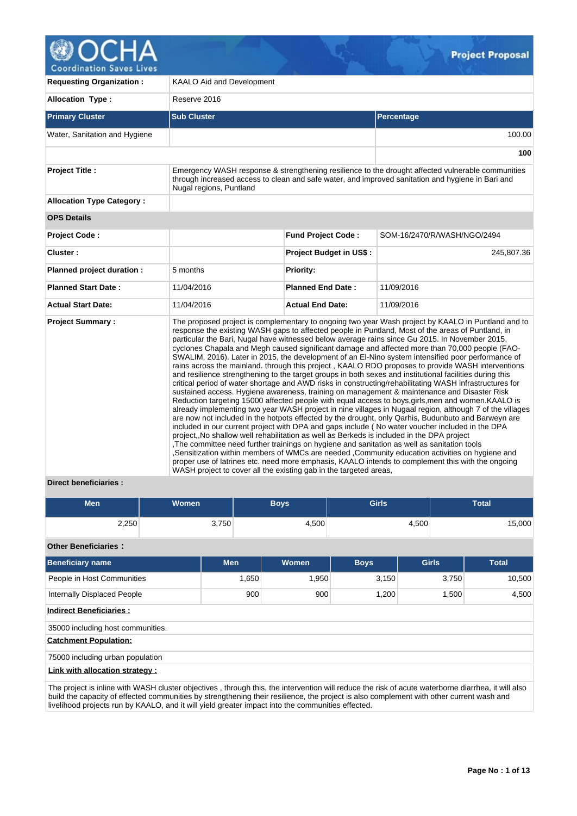

**Coordination Saves Lives** 

| <b>Requesting Organization:</b>  | <b>KAALO Aid and Development</b>                                                                                                                                                                                                                                                                                                                                                                                                                                                                                                                                                                                                                                                                                                                                                                                                                                                                                                                                                                                                                                                                                                                                                                                                                                                                                                                                                                                                                                                                                                                                                                                                                                                                                                                                              |                                                                                                                                                                                                        |                             |  |  |  |
|----------------------------------|-------------------------------------------------------------------------------------------------------------------------------------------------------------------------------------------------------------------------------------------------------------------------------------------------------------------------------------------------------------------------------------------------------------------------------------------------------------------------------------------------------------------------------------------------------------------------------------------------------------------------------------------------------------------------------------------------------------------------------------------------------------------------------------------------------------------------------------------------------------------------------------------------------------------------------------------------------------------------------------------------------------------------------------------------------------------------------------------------------------------------------------------------------------------------------------------------------------------------------------------------------------------------------------------------------------------------------------------------------------------------------------------------------------------------------------------------------------------------------------------------------------------------------------------------------------------------------------------------------------------------------------------------------------------------------------------------------------------------------------------------------------------------------|--------------------------------------------------------------------------------------------------------------------------------------------------------------------------------------------------------|-----------------------------|--|--|--|
| <b>Allocation Type:</b>          | Reserve 2016                                                                                                                                                                                                                                                                                                                                                                                                                                                                                                                                                                                                                                                                                                                                                                                                                                                                                                                                                                                                                                                                                                                                                                                                                                                                                                                                                                                                                                                                                                                                                                                                                                                                                                                                                                  |                                                                                                                                                                                                        |                             |  |  |  |
| <b>Primary Cluster</b>           | <b>Sub Cluster</b>                                                                                                                                                                                                                                                                                                                                                                                                                                                                                                                                                                                                                                                                                                                                                                                                                                                                                                                                                                                                                                                                                                                                                                                                                                                                                                                                                                                                                                                                                                                                                                                                                                                                                                                                                            |                                                                                                                                                                                                        | <b>Percentage</b>           |  |  |  |
| Water, Sanitation and Hygiene    |                                                                                                                                                                                                                                                                                                                                                                                                                                                                                                                                                                                                                                                                                                                                                                                                                                                                                                                                                                                                                                                                                                                                                                                                                                                                                                                                                                                                                                                                                                                                                                                                                                                                                                                                                                               |                                                                                                                                                                                                        | 100.00                      |  |  |  |
|                                  |                                                                                                                                                                                                                                                                                                                                                                                                                                                                                                                                                                                                                                                                                                                                                                                                                                                                                                                                                                                                                                                                                                                                                                                                                                                                                                                                                                                                                                                                                                                                                                                                                                                                                                                                                                               |                                                                                                                                                                                                        | 100                         |  |  |  |
| <b>Project Title:</b>            |                                                                                                                                                                                                                                                                                                                                                                                                                                                                                                                                                                                                                                                                                                                                                                                                                                                                                                                                                                                                                                                                                                                                                                                                                                                                                                                                                                                                                                                                                                                                                                                                                                                                                                                                                                               | Emergency WASH response & strengthening resilience to the drought affected vulnerable communities<br>through increased access to clean and safe water, and improved sanitation and hygiene in Bari and |                             |  |  |  |
| <b>Allocation Type Category:</b> |                                                                                                                                                                                                                                                                                                                                                                                                                                                                                                                                                                                                                                                                                                                                                                                                                                                                                                                                                                                                                                                                                                                                                                                                                                                                                                                                                                                                                                                                                                                                                                                                                                                                                                                                                                               |                                                                                                                                                                                                        |                             |  |  |  |
| <b>OPS Details</b>               |                                                                                                                                                                                                                                                                                                                                                                                                                                                                                                                                                                                                                                                                                                                                                                                                                                                                                                                                                                                                                                                                                                                                                                                                                                                                                                                                                                                                                                                                                                                                                                                                                                                                                                                                                                               |                                                                                                                                                                                                        |                             |  |  |  |
| Project Code:                    |                                                                                                                                                                                                                                                                                                                                                                                                                                                                                                                                                                                                                                                                                                                                                                                                                                                                                                                                                                                                                                                                                                                                                                                                                                                                                                                                                                                                                                                                                                                                                                                                                                                                                                                                                                               | <b>Fund Project Code:</b>                                                                                                                                                                              | SOM-16/2470/R/WASH/NGO/2494 |  |  |  |
| Cluster:                         |                                                                                                                                                                                                                                                                                                                                                                                                                                                                                                                                                                                                                                                                                                                                                                                                                                                                                                                                                                                                                                                                                                                                                                                                                                                                                                                                                                                                                                                                                                                                                                                                                                                                                                                                                                               | <b>Project Budget in US\$:</b>                                                                                                                                                                         | 245,807.36                  |  |  |  |
| Planned project duration :       | 5 months                                                                                                                                                                                                                                                                                                                                                                                                                                                                                                                                                                                                                                                                                                                                                                                                                                                                                                                                                                                                                                                                                                                                                                                                                                                                                                                                                                                                                                                                                                                                                                                                                                                                                                                                                                      | <b>Priority:</b>                                                                                                                                                                                       |                             |  |  |  |
| <b>Planned Start Date:</b>       | 11/04/2016                                                                                                                                                                                                                                                                                                                                                                                                                                                                                                                                                                                                                                                                                                                                                                                                                                                                                                                                                                                                                                                                                                                                                                                                                                                                                                                                                                                                                                                                                                                                                                                                                                                                                                                                                                    | <b>Planned End Date:</b>                                                                                                                                                                               | 11/09/2016                  |  |  |  |
| <b>Actual Start Date:</b>        | 11/04/2016                                                                                                                                                                                                                                                                                                                                                                                                                                                                                                                                                                                                                                                                                                                                                                                                                                                                                                                                                                                                                                                                                                                                                                                                                                                                                                                                                                                                                                                                                                                                                                                                                                                                                                                                                                    | <b>Actual End Date:</b>                                                                                                                                                                                | 11/09/2016                  |  |  |  |
| <b>Project Summary:</b>          | The proposed project is complementary to ongoing two year Wash project by KAALO in Puntland and to<br>response the existing WASH gaps to affected people in Puntland, Most of the areas of Puntland, in<br>particular the Bari, Nugal have witnessed below average rains since Gu 2015. In November 2015,<br>cyclones Chapala and Megh caused significant damage and affected more than 70,000 people (FAO-<br>SWALIM, 2016). Later in 2015, the development of an El-Nino system intensified poor performance of<br>rains across the mainland. through this project, KAALO RDO proposes to provide WASH interventions<br>and resilience strengthening to the target groups in both sexes and institutional facilities during this<br>critical period of water shortage and AWD risks in constructing/rehabilitating WASH infrastructures for<br>sustained access. Hygiene awareness, training on management & maintenance and Disaster Risk<br>Reduction targeting 15000 affected people with equal access to boys, girls, men and women. KAALO is<br>already implementing two year WASH project in nine villages in Nugaal region, although 7 of the villages<br>are now not included in the hotpots effected by the drought, only Qarhis, Budunbuto and Barweyn are<br>included in our current project with DPA and gaps include (No water voucher included in the DPA<br>project,, No shallow well rehabilitation as well as Berkeds is included in the DPA project<br>The committee need further trainings on hygiene and sanitation as well as sanitation tools<br>Sensitization within members of WMCs are needed , Community education activities on hygiene and<br>proper use of latrines etc. need more emphasis, KAALO intends to complement this with the ongoing |                                                                                                                                                                                                        |                             |  |  |  |

# **Direct beneficiaries :**

| Men   | <b>Women</b> | <b>Boys</b> | Girls | <b>Total</b> |
|-------|--------------|-------------|-------|--------------|
| 2,250 | 3,750        | 4,500       | 4,500 | 15,000       |

# **Other Beneficiaries :**

| <b>Men</b>                       | <b>Women</b> | <b>Boys</b> | <b>Girls</b> | <b>Total</b> |  |  |  |  |
|----------------------------------|--------------|-------------|--------------|--------------|--|--|--|--|
| 1,650                            | 1,950        | 3,150       | 3,750        | 10,500       |  |  |  |  |
| 900                              | 900          | 1,200       | 1,500        | 4,500        |  |  |  |  |
|                                  |              |             |              |              |  |  |  |  |
|                                  |              |             |              |              |  |  |  |  |
|                                  |              |             |              |              |  |  |  |  |
| 75000 including urban population |              |             |              |              |  |  |  |  |
| Link with allocation strategy:   |              |             |              |              |  |  |  |  |
|                                  |              |             |              |              |  |  |  |  |

The project is inline with WASH cluster objectives , through this, the intervention will reduce the risk of acute waterborne diarrhea, it will also build the capacity of effected communities by strengthening their resilience, the project is also complement with other current wash and livelihood projects run by KAALO, and it will yield greater impact into the communities effected.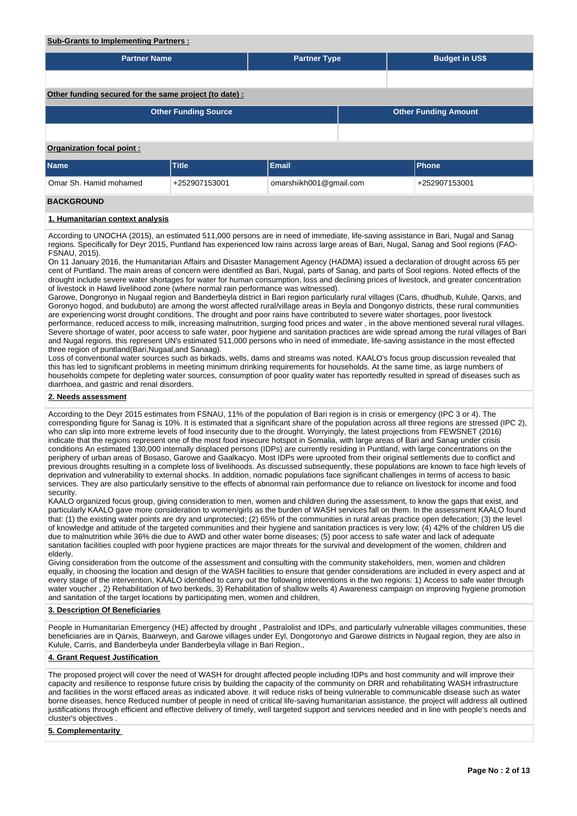# **Sub-Grants to Implementing Partners :**

| <b>Partner Name</b>                                        |               | <b>Partner Type</b>     |  | <b>Budget in US\$</b> |  |  |  |
|------------------------------------------------------------|---------------|-------------------------|--|-----------------------|--|--|--|
|                                                            |               |                         |  |                       |  |  |  |
|                                                            |               |                         |  |                       |  |  |  |
| Other funding secured for the same project (to date):      |               |                         |  |                       |  |  |  |
| <b>Other Funding Source</b><br><b>Other Funding Amount</b> |               |                         |  |                       |  |  |  |
|                                                            |               |                         |  |                       |  |  |  |
| <b>Organization focal point:</b>                           |               |                         |  |                       |  |  |  |
| <b>Name</b>                                                | <b>Title</b>  | <b>Email</b>            |  | Phone                 |  |  |  |
| Omar Sh. Hamid mohamed                                     | +252907153001 | omarshiikh001@gmail.com |  | +252907153001         |  |  |  |
| <b>BACKGROUND</b>                                          |               |                         |  |                       |  |  |  |

## **1. Humanitarian context analysis**

According to UNOCHA (2015), an estimated 511,000 persons are in need of immediate, life-saving assistance in Bari, Nugal and Sanag regions. Specifically for Deyr 2015, Puntland has experienced low rains across large areas of Bari, Nugal, Sanag and Sool regions (FAO-FSNAU, 2015).

On 11 January 2016, the Humanitarian Affairs and Disaster Management Agency (HADMA) issued a declaration of drought across 65 per cent of Puntland. The main areas of concern were identified as Bari, Nugal, parts of Sanag, and parts of Sool regions. Noted effects of the drought include severe water shortages for water for human consumption, loss and declining prices of livestock, and greater concentration of livestock in Hawd livelihood zone (where normal rain performance was witnessed).

Garowe, Dongronyo in Nugaal region and Banderbeyla district in Bari region particularly rural villages (Caris, dhudhub, Kulule, Qarxis, and Goronyo hogod, and budubuto) are among the worst affected rural/village areas in Beyla and Dongonyo districts, these rural communities are experiencing worst drought conditions. The drought and poor rains have contributed to severe water shortages, poor livestock performance, reduced access to milk, increasing malnutrition, surging food prices and water , in the above mentioned several rural villages. Severe shortage of water, poor access to safe water, poor hygiene and sanitation practices are wide spread among the rural villages of Bari and Nugal regions. this represent UN's estimated 511,000 persons who in need of immediate, life-saving assistance in the most effected three region of puntland(Bari,Nugaal,and Sanaag).

Loss of conventional water sources such as birkads, wells, dams and streams was noted. KAALO's focus group discussion revealed that this has led to significant problems in meeting minimum drinking requirements for households. At the same time, as large numbers of households compete for depleting water sources, consumption of poor quality water has reportedly resulted in spread of diseases such as diarrhoea, and gastric and renal disorders.

#### **2. Needs assessment**

According to the Deyr 2015 estimates from FSNAU, 11% of the population of Bari region is in crisis or emergency (IPC 3 or 4). The corresponding figure for Sanag is 10%. It is estimated that a significant share of the population across all three regions are stressed (IPC 2), who can slip into more extreme levels of food insecurity due to the drought. Worryingly, the latest projections from FEWSNET (2016) indicate that the regions represent one of the most food insecure hotspot in Somalia, with large areas of Bari and Sanag under crisis conditions An estimated 130,000 internally displaced persons (IDPs) are currently residing in Puntland, with large concentrations on the periphery of urban areas of Bosaso, Garowe and Gaalkacyo. Most IDPs were uprooted from their original settlements due to conflict and previous droughts resulting in a complete loss of livelihoods. As discussed subsequently, these populations are known to face high levels of deprivation and vulnerability to external shocks. In addition, nomadic populations face significant challenges in terms of access to basic services. They are also particularly sensitive to the effects of abnormal rain performance due to reliance on livestock for income and food security.

KAALO organized focus group, giving consideration to men, women and children during the assessment, to know the gaps that exist, and particularly KAALO gave more consideration to women/girls as the burden of WASH services fall on them. In the assessment KAALO found that: (1) the existing water points are dry and unprotected; (2) 65% of the communities in rural areas practice open defecation; (3) the level of knowledge and attitude of the targeted communities and their hygiene and sanitation practices is very low; (4) 42% of the children U5 die due to malnutrition while 36% die due to AWD and other water borne diseases; (5) poor access to safe water and lack of adequate sanitation facilities coupled with poor hygiene practices are major threats for the survival and development of the women, children and elderly.

Giving consideration from the outcome of the assessment and consulting with the community stakeholders, men, women and children equally, in choosing the location and design of the WASH facilities to ensure that gender considerations are included in every aspect and at every stage of the intervention, KAALO identified to carry out the following interventions in the two regions: 1) Access to safe water through water voucher , 2) Rehabilitation of two berkeds, 3) Rehabilitation of shallow wells 4) Awareness campaign on improving hygiene promotion and sanitation of the target locations by participating men, women and children,

# **3. Description Of Beneficiaries**

People in Humanitarian Emergency (HE) affected by drought , Pastralolist and IDPs, and particularly vulnerable villages communities, these beneficiaries are in Qarxis, Baarweyn, and Garowe villages under Eyl, Dongoronyo and Garowe districts in Nugaal region, they are also in Kulule, Carris, and Banderbeyla under Banderbeyla village in Bari Region.,

#### **4. Grant Request Justification**

The proposed project will cover the need of WASH for drought affected people including IDPs and host community and will improve their capacity and resilience to response future crisis by building the capacity of the community on DRR and rehabilitating WASH infrastructure and facilities in the worst effaced areas as indicated above. it will reduce risks of being vulnerable to communicable disease such as water borne diseases, hence Reduced number of people in need of critical life-saving humanitarian assistance. the project will address all outlined justifications through efficient and effective delivery of timely, well targeted support and services needed and in line with people's needs and cluster's objectives .

# **5. Complementarity**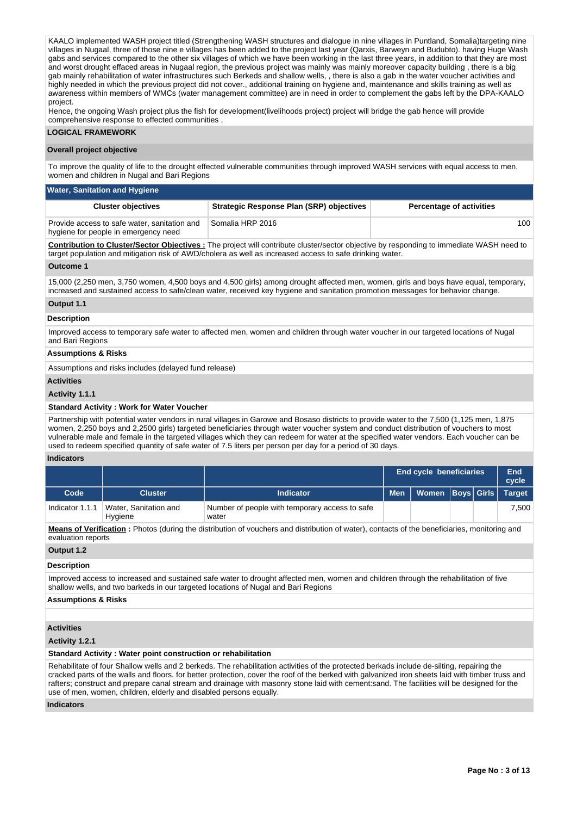KAALO implemented WASH project titled (Strengthening WASH structures and dialogue in nine villages in Puntland, Somalia)targeting nine villages in Nugaal, three of those nine e villages has been added to the project last year (Qarxis, Barweyn and Budubto). having Huge Wash gabs and services compared to the other six villages of which we have been working in the last three years, in addition to that they are most and worst drought effaced areas in Nugaal region, the previous project was mainly was mainly moreover capacity building , there is a big gab mainly rehabilitation of water infrastructures such Berkeds and shallow wells, , there is also a gab in the water voucher activities and highly needed in which the previous project did not cover., additional training on hygiene and, maintenance and skills training as well as awareness within members of WMCs (water management committee) are in need in order to complement the gabs left by the DPA-KAALO project.

Hence, the ongoing Wash project plus the fish for development(livelihoods project) project will bridge the gab hence will provide comprehensive response to effected communities ,

## **LOGICAL FRAMEWORK**

#### **Overall project objective**

To improve the quality of life to the drought effected vulnerable communities through improved WASH services with equal access to men, women and children in Nugal and Bari Regions

| <b>Water, Sanitation and Hygiene</b>                                                 |                                                 |                                 |  |  |  |  |  |
|--------------------------------------------------------------------------------------|-------------------------------------------------|---------------------------------|--|--|--|--|--|
| <b>Cluster objectives</b>                                                            | <b>Strategic Response Plan (SRP) objectives</b> | <b>Percentage of activities</b> |  |  |  |  |  |
| Provide access to safe water, sanitation and<br>hygiene for people in emergency need | Somalia HRP 2016                                | 100                             |  |  |  |  |  |

**Contribution to Cluster/Sector Objectives :** The project will contribute cluster/sector objective by responding to immediate WASH need to target population and mitigation risk of AWD/cholera as well as increased access to safe drinking water.

#### **Outcome 1**

15,000 (2,250 men, 3,750 women, 4,500 boys and 4,500 girls) among drought affected men, women, girls and boys have equal, temporary, increased and sustained access to safe/clean water, received key hygiene and sanitation promotion messages for behavior change.

#### **Output 1.1**

# **Description**

Improved access to temporary safe water to affected men, women and children through water voucher in our targeted locations of Nugal and Bari Regions

#### **Assumptions & Risks**

Assumptions and risks includes (delayed fund release)

#### **Activities**

#### **Activity 1.1.1**

### **Standard Activity : Work for Water Voucher**

Partnership with potential water vendors in rural villages in Garowe and Bosaso districts to provide water to the 7,500 (1,125 men, 1,875 women, 2,250 boys and 2,2500 girls) targeted beneficiaries through water voucher system and conduct distribution of vouchers to most vulnerable male and female in the targeted villages which they can redeem for water at the specified water vendors. Each voucher can be used to redeem specified quantity of safe water of 7.5 liters per person per day for a period of 30 days.

#### **Indicators**

|                 |                                  |                                                         |            | <b>End cycle beneficiaries</b> |  | End<br>cycle  |
|-----------------|----------------------------------|---------------------------------------------------------|------------|--------------------------------|--|---------------|
| Code            | <b>Cluster</b>                   | <b>Indicator</b>                                        | <b>Men</b> | Women Boys Girls               |  | <b>Target</b> |
| Indicator 1.1.1 | Water, Sanitation and<br>Hygiene | Number of people with temporary access to safe<br>water |            |                                |  | 7.500         |

**Means of Verification :** Photos (during the distribution of vouchers and distribution of water), contacts of the beneficiaries, monitoring and evaluation reports

**Output 1.2**

#### **Description**

Improved access to increased and sustained safe water to drought affected men, women and children through the rehabilitation of five shallow wells, and two barkeds in our targeted locations of Nugal and Bari Regions

#### **Assumptions & Risks**

#### **Activities**

#### **Activity 1.2.1**

#### **Standard Activity : Water point construction or rehabilitation**

Rehabilitate of four Shallow wells and 2 berkeds. The rehabilitation activities of the protected berkads include de-silting, repairing the cracked parts of the walls and floors. for better protection, cover the roof of the berked with galvanized iron sheets laid with timber truss and rafters; construct and prepare canal stream and drainage with masonry stone laid with cement:sand. The facilities will be designed for the use of men, women, children, elderly and disabled persons equally.

#### **Indicators**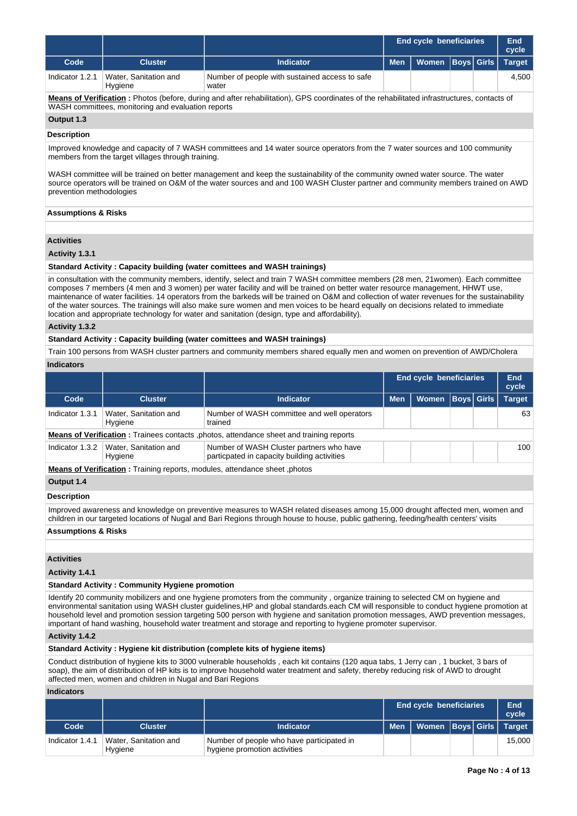|                                                                                                                                                                                                  |                                                                                                                                                                                                                                                                                                  |                                                         |            | <b>End cycle beneficiaries</b> |  |                   | <b>End</b><br>cycle |
|--------------------------------------------------------------------------------------------------------------------------------------------------------------------------------------------------|--------------------------------------------------------------------------------------------------------------------------------------------------------------------------------------------------------------------------------------------------------------------------------------------------|---------------------------------------------------------|------------|--------------------------------|--|-------------------|---------------------|
| Code                                                                                                                                                                                             | <b>Cluster</b>                                                                                                                                                                                                                                                                                   | <b>Indicator</b>                                        | <b>Men</b> | <b>Women</b>                   |  | <b>Boys Girls</b> | <b>Target</b>       |
| Indicator 1.2.1                                                                                                                                                                                  | Water, Sanitation and<br>Hygiene                                                                                                                                                                                                                                                                 | Number of people with sustained access to safe<br>water |            |                                |  |                   | 4.500               |
| Means of Verification: Photos (before, during and after rehabilitation), GPS coordinates of the rehabilitated infrastructures, contacts of<br>WASH committees, monitoring and evaluation reports |                                                                                                                                                                                                                                                                                                  |                                                         |            |                                |  |                   |                     |
| Output 1.3                                                                                                                                                                                       |                                                                                                                                                                                                                                                                                                  |                                                         |            |                                |  |                   |                     |
| <b>Description</b>                                                                                                                                                                               |                                                                                                                                                                                                                                                                                                  |                                                         |            |                                |  |                   |                     |
| Improved knowledge and capacity of 7 WASH committees and 14 water source operators from the 7 water sources and 100 community<br>members from the target villages through training.              |                                                                                                                                                                                                                                                                                                  |                                                         |            |                                |  |                   |                     |
|                                                                                                                                                                                                  | WASH committee will be trained on better management and keep the sustainability of the community owned water source. The water<br>source operators will be trained on O&M of the water sources and and 100 WASH Cluster partner and community members trained on AWD<br>prevention methodologies |                                                         |            |                                |  |                   |                     |

# **Assumptions & Risks**

# **Activities**

# **Activity 1.3.1**

# **Standard Activity : Capacity building (water comittees and WASH trainings)**

in consultation with the community members, identify, select and train 7 WASH committee members (28 men, 21women). Each committee composes 7 members (4 men and 3 women) per water facility and will be trained on better water resource management, HHWT use, maintenance of water facilities. 14 operators from the barkeds will be trained on O&M and collection of water revenues for the sustainability of the water sources. The trainings will also make sure women and men voices to be heard equally on decisions related to immediate location and appropriate technology for water and sanitation (design, type and affordability).

## **Activity 1.3.2**

## **Standard Activity : Capacity building (water comittees and WASH trainings)**

Train 100 persons from WASH cluster partners and community members shared equally men and women on prevention of AWD/Cholera **Indicators**

|                 |                                  |                                                                                                |            | <b>End cycle beneficiaries</b> |                   | End<br>cycle  |
|-----------------|----------------------------------|------------------------------------------------------------------------------------------------|------------|--------------------------------|-------------------|---------------|
| Code            | <b>Cluster</b>                   | <b>Indicator</b>                                                                               | <b>Men</b> | <b>Women</b>                   | <b>Boys Girls</b> | <b>Target</b> |
| Indicator 1.3.1 | Water, Sanitation and<br>Hygiene | Number of WASH committee and well operators<br>trained                                         |            |                                |                   | 63            |
|                 |                                  | <b>Means of Verification:</b> Trainees contacts, photos, attendance sheet and training reports |            |                                |                   |               |
| Indicator 1.3.2 | Water, Sanitation and<br>Hygiene | Number of WASH Cluster partners who have<br>particpated in capacity building activities        |            |                                |                   | 100           |
|                 |                                  | Means of Verification: Training reports, modules, attendance sheet, photos                     |            |                                |                   |               |
| Output 1.4      |                                  |                                                                                                |            |                                |                   |               |

#### **Description**

Improved awareness and knowledge on preventive measures to WASH related diseases among 15,000 drought affected men, women and children in our targeted locations of Nugal and Bari Regions through house to house, public gathering, feeding/health centers' visits

# **Assumptions & Risks**

# **Activities**

# **Activity 1.4.1**

#### **Standard Activity : Community Hygiene promotion**

Identify 20 community mobilizers and one hygiene promoters from the community , organize training to selected CM on hygiene and environmental sanitation using WASH cluster guidelines,HP and global standards.each CM will responsible to conduct hygiene promotion at household level and promotion session targeting 500 person with hygiene and sanitation promotion messages, AWD prevention messages, important of hand washing, household water treatment and storage and reporting to hygiene promoter supervisor.

#### **Activity 1.4.2**

#### **Standard Activity : Hygiene kit distribution (complete kits of hygiene items)**

Conduct distribution of hygiene kits to 3000 vulnerable households , each kit contains (120 aqua tabs, 1 Jerry can , 1 bucket, 3 bars of soap), the aim of distribution of HP kits is to improve household water treatment and safety, thereby reducing risk of AWD to drought affected men, women and children in Nugal and Bari Regions

#### **Indicators**

|                 |                                  |                                                                           | <b>End cycle beneficiaries</b>    |  | End<br>cycle |
|-----------------|----------------------------------|---------------------------------------------------------------------------|-----------------------------------|--|--------------|
| Code            | <b>Cluster</b>                   | <b>Indicator</b>                                                          | Men   Women  Boys  Girls   Tarqet |  |              |
| Indicator 1.4.1 | Water, Sanitation and<br>Hygiene | Number of people who have participated in<br>hygiene promotion activities |                                   |  | 15.000       |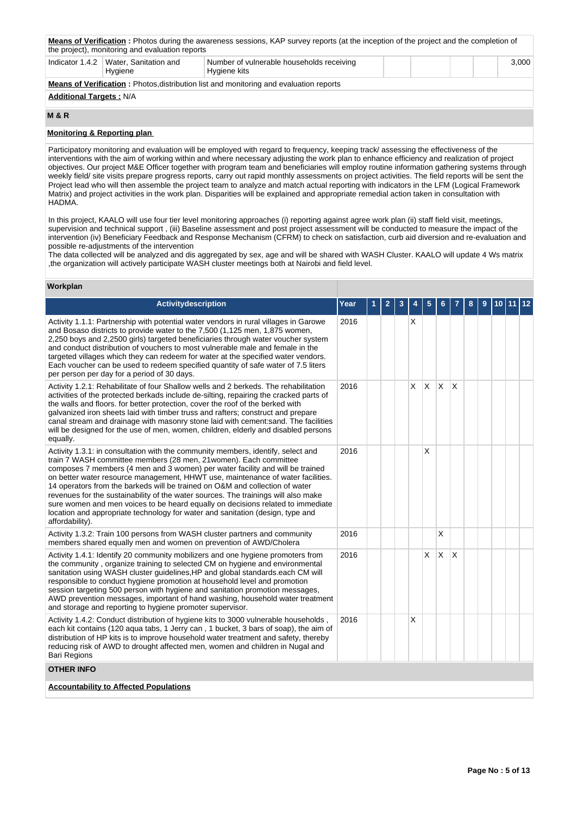| <b>Means of Verification</b> : Photos during the awareness sessions, KAP survey reports (at the inception of the project and the completion of<br>the project), monitoring and evaluation reports |                                                    |                                                           |  |  |  |       |
|---------------------------------------------------------------------------------------------------------------------------------------------------------------------------------------------------|----------------------------------------------------|-----------------------------------------------------------|--|--|--|-------|
|                                                                                                                                                                                                   | Indicator 1.4.2   Water, Sanitation and<br>Hygiene | Number of vulnerable households receiving<br>Hygiene kits |  |  |  | 3.000 |
| <b>Means of Verification:</b> Photos distribution list and monitoring and evaluation reports                                                                                                      |                                                    |                                                           |  |  |  |       |
| <b>Additional Targets: N/A</b>                                                                                                                                                                    |                                                    |                                                           |  |  |  |       |

# **M & R**

# **Monitoring & Reporting plan**

Participatory monitoring and evaluation will be employed with regard to frequency, keeping track/ assessing the effectiveness of the interventions with the aim of working within and where necessary adjusting the work plan to enhance efficiency and realization of project objectives. Our project M&E Officer together with program team and beneficiaries will employ routine information gathering systems through weekly field/ site visits prepare progress reports, carry out rapid monthly assessments on project activities. The field reports will be sent the Project lead who will then assemble the project team to analyze and match actual reporting with indicators in the LFM (Logical Framework Matrix) and project activities in the work plan. Disparities will be explained and appropriate remedial action taken in consultation with HADMA.

In this project, KAALO will use four tier level monitoring approaches (i) reporting against agree work plan (ii) staff field visit, meetings, supervision and technical support , (iii) Baseline assessment and post project assessment will be conducted to measure the impact of the intervention (iv) Beneficiary Feedback and Response Mechanism (CFRM) to check on satisfaction, curb aid diversion and re-evaluation and possible re-adjustments of the intervention

The data collected will be analyzed and dis aggregated by sex, age and will be shared with WASH Cluster. KAALO will update 4 Ws matrix ,the organization will actively participate WASH cluster meetings both at Nairobi and field level.

| Workplan                                                                                                                                                                                                                                                                                                                                                                                                                                                                                                                                                                                                                                                                                |      |   |   |   |   |   |   |   |  |  |
|-----------------------------------------------------------------------------------------------------------------------------------------------------------------------------------------------------------------------------------------------------------------------------------------------------------------------------------------------------------------------------------------------------------------------------------------------------------------------------------------------------------------------------------------------------------------------------------------------------------------------------------------------------------------------------------------|------|---|---|---|---|---|---|---|--|--|
| Activitydescription                                                                                                                                                                                                                                                                                                                                                                                                                                                                                                                                                                                                                                                                     | Year | 2 | 3 |   | 5 |   |   | 8 |  |  |
| Activity 1.1.1: Partnership with potential water vendors in rural villages in Garowe<br>and Bosaso districts to provide water to the 7,500 (1,125 men, 1,875 women,<br>2,250 boys and 2,2500 girls) targeted beneficiaries through water voucher system<br>and conduct distribution of vouchers to most vulnerable male and female in the<br>targeted villages which they can redeem for water at the specified water vendors.<br>Each voucher can be used to redeem specified quantity of safe water of 7.5 liters<br>per person per day for a period of 30 days.                                                                                                                      | 2016 |   |   | X |   |   |   |   |  |  |
| Activity 1.2.1: Rehabilitate of four Shallow wells and 2 berkeds. The rehabilitation<br>activities of the protected berkads include de-silting, repairing the cracked parts of<br>the walls and floors, for better protection, cover the roof of the berked with<br>galvanized iron sheets laid with timber truss and rafters; construct and prepare<br>canal stream and drainage with masonry stone laid with cement:sand. The facilities<br>will be designed for the use of men, women, children, elderly and disabled persons<br>equally.                                                                                                                                            | 2016 |   |   | X | X | X | X |   |  |  |
| Activity 1.3.1: in consultation with the community members, identify, select and<br>train 7 WASH committee members (28 men, 21 women). Each committee<br>composes 7 members (4 men and 3 women) per water facility and will be trained<br>on better water resource management, HHWT use, maintenance of water facilities.<br>14 operators from the barkeds will be trained on O&M and collection of water<br>revenues for the sustainability of the water sources. The trainings will also make<br>sure women and men voices to be heard equally on decisions related to immediate<br>location and appropriate technology for water and sanitation (design, type and<br>affordability). | 2016 |   |   |   | Χ |   |   |   |  |  |
| Activity 1.3.2: Train 100 persons from WASH cluster partners and community<br>members shared equally men and women on prevention of AWD/Cholera                                                                                                                                                                                                                                                                                                                                                                                                                                                                                                                                         | 2016 |   |   |   |   | X |   |   |  |  |
| Activity 1.4.1: Identify 20 community mobilizers and one hygiene promoters from<br>the community, organize training to selected CM on hygiene and environmental<br>sanitation using WASH cluster guidelines, HP and global standards.each CM will<br>responsible to conduct hygiene promotion at household level and promotion<br>session targeting 500 person with hygiene and sanitation promotion messages,<br>AWD prevention messages, important of hand washing, household water treatment<br>and storage and reporting to hygiene promoter supervisor.                                                                                                                            | 2016 |   |   |   | X | X | X |   |  |  |
| Activity 1.4.2: Conduct distribution of hygiene kits to 3000 vulnerable households,<br>each kit contains (120 agua tabs, 1 Jerry can, 1 bucket, 3 bars of soap), the aim of<br>distribution of HP kits is to improve household water treatment and safety, thereby<br>reducing risk of AWD to drought affected men, women and children in Nugal and<br><b>Bari Regions</b>                                                                                                                                                                                                                                                                                                              | 2016 |   |   | X |   |   |   |   |  |  |
| <b>OTHER INFO</b>                                                                                                                                                                                                                                                                                                                                                                                                                                                                                                                                                                                                                                                                       |      |   |   |   |   |   |   |   |  |  |
| <b>Accountability to Affected Populations</b>                                                                                                                                                                                                                                                                                                                                                                                                                                                                                                                                                                                                                                           |      |   |   |   |   |   |   |   |  |  |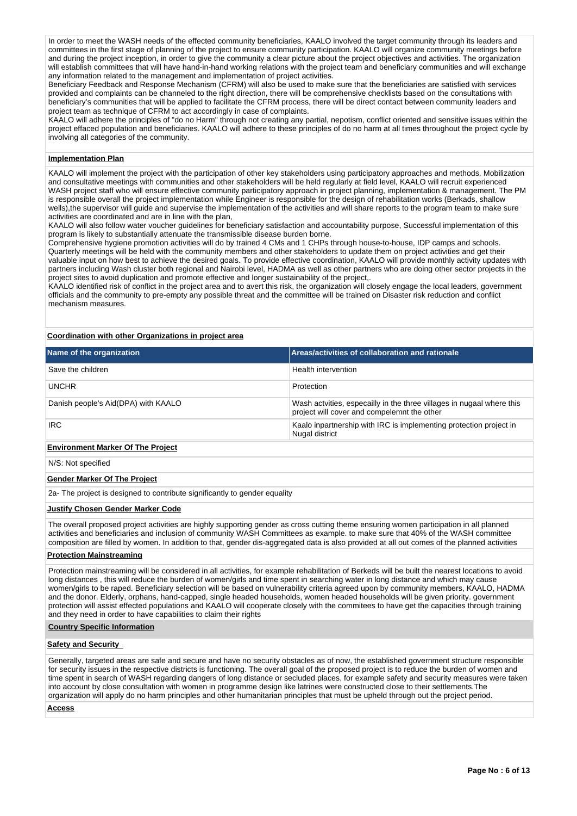In order to meet the WASH needs of the effected community beneficiaries, KAALO involved the target community through its leaders and committees in the first stage of planning of the project to ensure community participation. KAALO will organize community meetings before and during the project inception, in order to give the community a clear picture about the project objectives and activities. The organization will establish committees that will have hand-in-hand working relations with the project team and beneficiary communities and will exchange any information related to the management and implementation of project activities.

Beneficiary Feedback and Response Mechanism (CFRM) will also be used to make sure that the beneficiaries are satisfied with services provided and complaints can be channeled to the right direction, there will be comprehensive checklists based on the consultations with beneficiary's communities that will be applied to facilitate the CFRM process, there will be direct contact between community leaders and project team as technique of CFRM to act accordingly in case of complaints.

KAALO will adhere the principles of "do no Harm" through not creating any partial, nepotism, conflict oriented and sensitive issues within the project effaced population and beneficiaries. KAALO will adhere to these principles of do no harm at all times throughout the project cycle by involving all categories of the community.

# **Implementation Plan**

KAALO will implement the project with the participation of other key stakeholders using participatory approaches and methods. Mobilization and consultative meetings with communities and other stakeholders will be held regularly at field level, KAALO will recruit experienced WASH project staff who will ensure effective community participatory approach in project planning, implementation & management. The PM is responsible overall the project implementation while Engineer is responsible for the design of rehabilitation works (Berkads, shallow wells),the supervisor will guide and supervise the implementation of the activities and will share reports to the program team to make sure activities are coordinated and are in line with the plan,

KAALO will also follow water voucher guidelines for beneficiary satisfaction and accountability purpose, Successful implementation of this program is likely to substantially attenuate the transmissible disease burden borne.

Comprehensive hygiene promotion activities will do by trained 4 CMs and 1 CHPs through house-to-house, IDP camps and schools. Quarterly meetings will be held with the community members and other stakeholders to update them on project activities and get their valuable input on how best to achieve the desired goals. To provide effective coordination, KAALO will provide monthly activity updates with partners including Wash cluster both regional and Nairobi level, HADMA as well as other partners who are doing other sector projects in the project sites to avoid duplication and promote effective and longer sustainability of the project,.

KAALO identified risk of conflict in the project area and to avert this risk, the organization will closely engage the local leaders, government officials and the community to pre-empty any possible threat and the committee will be trained on Disaster risk reduction and conflict mechanism measures.

# **Coordination with other Organizations in project area**

| Name of the organization            | Areas/activities of collaboration and rationale                                                                      |
|-------------------------------------|----------------------------------------------------------------------------------------------------------------------|
| Save the children                   | Health intervention                                                                                                  |
| <b>UNCHR</b>                        | Protection                                                                                                           |
| Danish people's Aid(DPA) with KAALO | Wash actvities, especailly in the three villages in nugaal where this<br>project will cover and compelemnt the other |
| <b>IRC</b>                          | Kaalo inpartnership with IRC is implementing protection project in<br>Nugal district                                 |
|                                     |                                                                                                                      |

#### **Environment Marker Of The Project**

N/S: Not specified

## **Gender Marker Of The Project**

2a- The project is designed to contribute significantly to gender equality

# **Justify Chosen Gender Marker Code**

The overall proposed project activities are highly supporting gender as cross cutting theme ensuring women participation in all planned activities and beneficiaries and inclusion of community WASH Committees as example. to make sure that 40% of the WASH committee composition are filled by women. In addition to that, gender dis-aggregated data is also provided at all out comes of the planned activities

# **Protection Mainstreaming**

Protection mainstreaming will be considered in all activities, for example rehabilitation of Berkeds will be built the nearest locations to avoid long distances , this will reduce the burden of women/girls and time spent in searching water in long distance and which may cause women/girls to be raped. Beneficiary selection will be based on vulnerability criteria agreed upon by community members, KAALO, HADMA and the donor. Elderly, orphans, hand-capped, single headed households, women headed households will be given priority. government protection will assist effected populations and KAALO will cooperate closely with the commitees to have get the capacities through training and they need in order to have capabilities to claim their rights

#### **Country Specific Information**

#### **Safety and Security**

Generally, targeted areas are safe and secure and have no security obstacles as of now, the established government structure responsible for security issues in the respective districts is functioning. The overall goal of the proposed project is to reduce the burden of women and time spent in search of WASH regarding dangers of long distance or secluded places, for example safety and security measures were taken into account by close consultation with women in programme design like latrines were constructed close to their settlements.The organization will apply do no harm principles and other humanitarian principles that must be upheld through out the project period.

# **Access**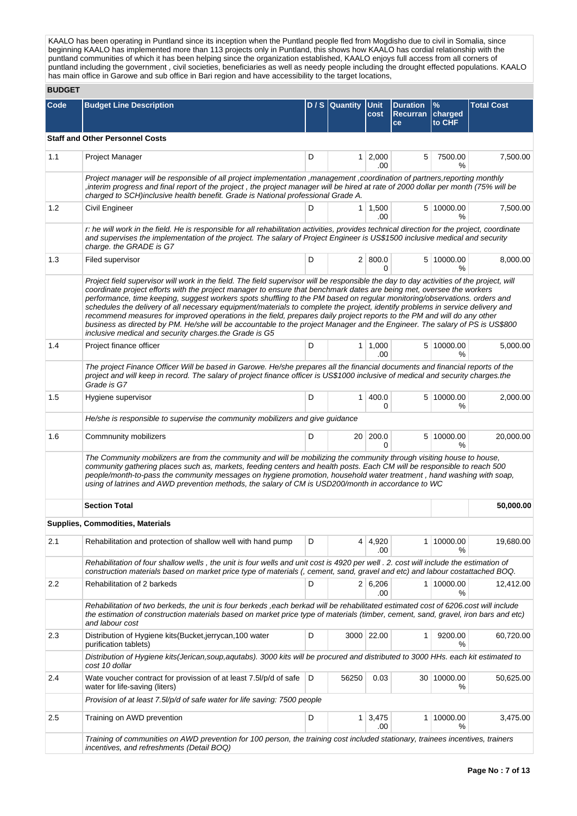KAALO has been operating in Puntland since its inception when the Puntland people fled from Mogdisho due to civil in Somalia, since beginning KAALO has implemented more than 113 projects only in Puntland, this shows how KAALO has cordial relationship with the puntland communities of which it has been helping since the organization established, KAALO enjoys full access from all corners of puntland including the government , civil societies, beneficiaries as well as needy people including the drought effected populations. KAALO has main office in Garowe and sub office in Bari region and have accessibility to the target locations,

# **BUDGET**

| Code | <b>Budget Line Description</b>                                                                                                                                                                                                                                                                                                                                                                                                                                                                                                                                                                                                                                                                                                                                                                                                                       |   | D / S Quantity Unit |                        | <b>Duration</b> | $\frac{9}{6}$     | <b>Total Cost</b> |  |  |
|------|------------------------------------------------------------------------------------------------------------------------------------------------------------------------------------------------------------------------------------------------------------------------------------------------------------------------------------------------------------------------------------------------------------------------------------------------------------------------------------------------------------------------------------------------------------------------------------------------------------------------------------------------------------------------------------------------------------------------------------------------------------------------------------------------------------------------------------------------------|---|---------------------|------------------------|-----------------|-------------------|-------------------|--|--|
|      |                                                                                                                                                                                                                                                                                                                                                                                                                                                                                                                                                                                                                                                                                                                                                                                                                                                      |   |                     | cost                   | Recurran<br>ce  | charged<br>to CHF |                   |  |  |
|      | <b>Staff and Other Personnel Costs</b>                                                                                                                                                                                                                                                                                                                                                                                                                                                                                                                                                                                                                                                                                                                                                                                                               |   |                     |                        |                 |                   |                   |  |  |
| 1.1  | <b>Project Manager</b>                                                                                                                                                                                                                                                                                                                                                                                                                                                                                                                                                                                                                                                                                                                                                                                                                               | D |                     | $1 \quad 2,000$<br>.00 | 5               | 7500.00<br>%      | 7,500.00          |  |  |
|      | Project manager will be responsible of all project implementation ,management ,coordination of partners, reporting monthly<br>interim progress and final report of the project, the project manager will be hired at rate of 2000 dollar per month (75% will be<br>charged to SCH)inclusive health benefit. Grade is National professional Grade A.                                                                                                                                                                                                                                                                                                                                                                                                                                                                                                  |   |                     |                        |                 |                   |                   |  |  |
| 1.2  | Civil Engineer                                                                                                                                                                                                                                                                                                                                                                                                                                                                                                                                                                                                                                                                                                                                                                                                                                       | D |                     | $1 \mid 1,500$<br>.00  |                 | 5 10000.00<br>%   | 7,500.00          |  |  |
|      | r: he will work in the field. He is responsible for all rehabilitation activities, provides technical direction for the project, coordinate<br>and supervises the implementation of the project. The salary of Project Engineer is US\$1500 inclusive medical and security<br>charge. the GRADE is G7                                                                                                                                                                                                                                                                                                                                                                                                                                                                                                                                                |   |                     |                        |                 |                   |                   |  |  |
| 1.3  | Filed supervisor                                                                                                                                                                                                                                                                                                                                                                                                                                                                                                                                                                                                                                                                                                                                                                                                                                     | D |                     | 2   800.0<br>0         |                 | 5 10000.00<br>%   | 8,000.00          |  |  |
|      | Project field supervisor will work in the field. The field supervisor will be responsible the day to day activities of the project, will<br>coordinate project efforts with the project manager to ensure that benchmark dates are being met, oversee the workers<br>performance, time keeping, suggest workers spots shuffling to the PM based on regular monitoring/observations. orders and<br>schedules the delivery of all necessary equipment/materials to complete the project, identify problems in service delivery and<br>recommend measures for improved operations in the field, prepares daily project reports to the PM and will do any other<br>business as directed by PM. He/she will be accountable to the project Manager and the Engineer. The salary of PS is US\$800<br>inclusive medical and security charges.the Grade is G5 |   |                     |                        |                 |                   |                   |  |  |
| 1.4  | Project finance officer                                                                                                                                                                                                                                                                                                                                                                                                                                                                                                                                                                                                                                                                                                                                                                                                                              | D |                     | $1 \mid 1,000$<br>.00  |                 | 5 10000.00<br>%   | 5,000.00          |  |  |
|      | The project Finance Officer Will be based in Garowe. He/she prepares all the financial documents and financial reports of the<br>project and will keep in record. The salary of project finance officer is US\$1000 inclusive of medical and security charges.the<br>Grade is G7                                                                                                                                                                                                                                                                                                                                                                                                                                                                                                                                                                     |   |                     |                        |                 |                   |                   |  |  |
| 1.5  | Hygiene supervisor                                                                                                                                                                                                                                                                                                                                                                                                                                                                                                                                                                                                                                                                                                                                                                                                                                   | D | 1                   | 400.0<br>0             |                 | 5 10000.00<br>℅   | 2,000.00          |  |  |
|      | He/she is responsible to supervise the community mobilizers and give guidance                                                                                                                                                                                                                                                                                                                                                                                                                                                                                                                                                                                                                                                                                                                                                                        |   |                     |                        |                 |                   |                   |  |  |
| 1.6  | Commnunity mobilizers                                                                                                                                                                                                                                                                                                                                                                                                                                                                                                                                                                                                                                                                                                                                                                                                                                | D |                     | 20 200.0<br>0          |                 | 5 10000.00<br>℅   | 20,000.00         |  |  |
|      | The Community mobilizers are from the community and will be mobilizing the community through visiting house to house,<br>community gathering places such as, markets, feeding centers and health posts. Each CM will be responsible to reach 500<br>people/month-to-pass the community messages on hygiene promotion, household water treatment, hand washing with soap,<br>using of latrines and AWD prevention methods, the salary of CM is USD200/month in accordance to WC                                                                                                                                                                                                                                                                                                                                                                       |   |                     |                        |                 |                   |                   |  |  |
|      | <b>Section Total</b>                                                                                                                                                                                                                                                                                                                                                                                                                                                                                                                                                                                                                                                                                                                                                                                                                                 |   |                     |                        |                 |                   | 50,000.00         |  |  |
|      | <b>Supplies, Commodities, Materials</b>                                                                                                                                                                                                                                                                                                                                                                                                                                                                                                                                                                                                                                                                                                                                                                                                              |   |                     |                        |                 |                   |                   |  |  |
| 2.1  | Rehabilitation and protection of shallow well with hand pump                                                                                                                                                                                                                                                                                                                                                                                                                                                                                                                                                                                                                                                                                                                                                                                         | D |                     | 4 4,920<br>.00         |                 | 1 10000.00<br>%   | 19,680.00         |  |  |
|      | Rehabilitation of four shallow wells, the unit is four wells and unit cost is 4920 per well. 2. cost will include the estimation of<br>construction materials based on market price type of materials (, cement, sand, gravel and etc) and labour costattached BOQ.                                                                                                                                                                                                                                                                                                                                                                                                                                                                                                                                                                                  |   |                     |                        |                 |                   |                   |  |  |
| 2.2  | Rehabilitation of 2 barkeds                                                                                                                                                                                                                                                                                                                                                                                                                                                                                                                                                                                                                                                                                                                                                                                                                          | D |                     | 2 6,206<br>.00         |                 | 1 10000.00<br>%   | 12,412.00         |  |  |
|      | Rehabilitation of two berkeds, the unit is four berkeds, each berkad will be rehabilitated estimated cost of 6206.cost will include<br>the estimation of construction materials based on market price type of materials (timber, cement, sand, gravel, iron bars and etc)<br>and labour cost                                                                                                                                                                                                                                                                                                                                                                                                                                                                                                                                                         |   |                     |                        |                 |                   |                   |  |  |
| 2.3  | Distribution of Hygiene kits (Bucket, jerrycan, 100 water<br>purification tablets)                                                                                                                                                                                                                                                                                                                                                                                                                                                                                                                                                                                                                                                                                                                                                                   | D |                     | 3000 22.00             | 1               | 9200.00<br>%      | 60,720.00         |  |  |
|      | Distribution of Hygiene kits(Jerican,soup,aqutabs). 3000 kits will be procured and distributed to 3000 HHs. each kit estimated to<br>cost 10 dollar                                                                                                                                                                                                                                                                                                                                                                                                                                                                                                                                                                                                                                                                                                  |   |                     |                        |                 |                   |                   |  |  |
| 2.4  | Wate voucher contract for provission of at least 7.5l/p/d of safe<br>water for life-saving (liters)                                                                                                                                                                                                                                                                                                                                                                                                                                                                                                                                                                                                                                                                                                                                                  | D | 56250               | 0.03                   |                 | 30 10000.00<br>℅  | 50,625.00         |  |  |
|      | Provision of at least 7.5//p/d of safe water for life saving: 7500 people                                                                                                                                                                                                                                                                                                                                                                                                                                                                                                                                                                                                                                                                                                                                                                            |   |                     |                        |                 |                   |                   |  |  |
| 2.5  | Training on AWD prevention                                                                                                                                                                                                                                                                                                                                                                                                                                                                                                                                                                                                                                                                                                                                                                                                                           | D |                     | $1 \mid 3,475$<br>.00  |                 | 1 10000.00<br>%   | 3,475.00          |  |  |
|      | Training of communities on AWD prevention for 100 person, the training cost included stationary, trainees incentives, trainers<br>incentives, and refreshments (Detail BOQ)                                                                                                                                                                                                                                                                                                                                                                                                                                                                                                                                                                                                                                                                          |   |                     |                        |                 |                   |                   |  |  |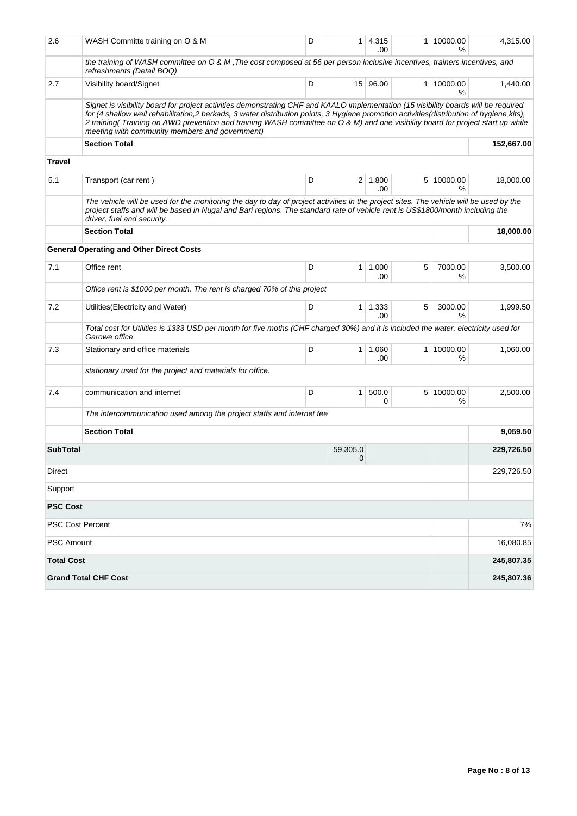| 2.6               | WASH Committe training on O & M                                                                                                                                                                                                                                                                                                                                                                                                                                       | D |                | $1 \mid 4,315$<br>.00 | 1 | 10000.00<br>%   | 4,315.00   |
|-------------------|-----------------------------------------------------------------------------------------------------------------------------------------------------------------------------------------------------------------------------------------------------------------------------------------------------------------------------------------------------------------------------------------------------------------------------------------------------------------------|---|----------------|-----------------------|---|-----------------|------------|
|                   | the training of WASH committee on O & M, The cost composed at 56 per person inclusive incentives, trainers incentives, and<br>refreshments (Detail BOQ)                                                                                                                                                                                                                                                                                                               |   |                |                       |   |                 |            |
| 2.7               | Visibility board/Signet                                                                                                                                                                                                                                                                                                                                                                                                                                               | D |                | 15 96.00              |   | 1 10000.00<br>% | 1,440.00   |
|                   | Signet is visibility board for project activities demonstrating CHF and KAALO implementation (15 visibility boards will be required<br>for (4 shallow well rehabilitation,2 berkads, 3 water distribution points, 3 Hygiene promotion activities(distribution of hygiene kits),<br>2 training (Training on AWD prevention and training WASH committee on O & M) and one visibility board for project start up while<br>meeting with community members and government) |   |                |                       |   |                 |            |
|                   | <b>Section Total</b>                                                                                                                                                                                                                                                                                                                                                                                                                                                  |   |                |                       |   |                 | 152,667.00 |
| <b>Travel</b>     |                                                                                                                                                                                                                                                                                                                                                                                                                                                                       |   |                |                       |   |                 |            |
| 5.1               | Transport (car rent)                                                                                                                                                                                                                                                                                                                                                                                                                                                  | D |                | $2 \mid 1,800$<br>.00 |   | 5 10000.00<br>% | 18,000.00  |
|                   | The vehicle will be used for the monitoring the day to day of project activities in the project sites. The vehicle will be used by the<br>project staffs and will be based in Nugal and Bari regions. The standard rate of vehicle rent is US\$1800/month including the<br>driver, fuel and security.                                                                                                                                                                 |   |                |                       |   |                 |            |
|                   | <b>Section Total</b>                                                                                                                                                                                                                                                                                                                                                                                                                                                  |   |                |                       |   |                 | 18,000.00  |
|                   | <b>General Operating and Other Direct Costs</b>                                                                                                                                                                                                                                                                                                                                                                                                                       |   |                |                       |   |                 |            |
| 7.1               | Office rent                                                                                                                                                                                                                                                                                                                                                                                                                                                           | D |                | $1 \mid 1,000$<br>.00 | 5 | 7000.00<br>%    | 3,500.00   |
|                   | Office rent is \$1000 per month. The rent is charged 70% of this project                                                                                                                                                                                                                                                                                                                                                                                              |   |                |                       |   |                 |            |
| 7.2               | Utilities (Electricity and Water)                                                                                                                                                                                                                                                                                                                                                                                                                                     | D |                | $1 \mid 1,333$<br>.00 | 5 | 3000.00<br>%    | 1,999.50   |
|                   | Total cost for Utilities is 1333 USD per month for five moths (CHF charged 30%) and it is included the water, electricity used for<br>Garowe office                                                                                                                                                                                                                                                                                                                   |   |                |                       |   |                 |            |
| 7.3               | Stationary and office materials                                                                                                                                                                                                                                                                                                                                                                                                                                       | D |                | $1 \mid 1,060$<br>.00 |   | 1 10000.00<br>℅ | 1,060.00   |
|                   | stationary used for the project and materials for office.                                                                                                                                                                                                                                                                                                                                                                                                             |   |                |                       |   |                 |            |
| 7.4               | communication and internet                                                                                                                                                                                                                                                                                                                                                                                                                                            | D | 1 <sup>1</sup> | 500.0<br>0            |   | 5 10000.00<br>℅ | 2,500.00   |
|                   | The intercommunication used among the project staffs and internet fee                                                                                                                                                                                                                                                                                                                                                                                                 |   |                |                       |   |                 |            |
|                   | <b>Section Total</b>                                                                                                                                                                                                                                                                                                                                                                                                                                                  |   |                |                       |   |                 | 9,059.50   |
| <b>SubTotal</b>   |                                                                                                                                                                                                                                                                                                                                                                                                                                                                       |   | 59,305.0<br>0  |                       |   |                 | 229,726.50 |
| Direct            |                                                                                                                                                                                                                                                                                                                                                                                                                                                                       |   |                |                       |   |                 | 229,726.50 |
| Support           |                                                                                                                                                                                                                                                                                                                                                                                                                                                                       |   |                |                       |   |                 |            |
| <b>PSC Cost</b>   |                                                                                                                                                                                                                                                                                                                                                                                                                                                                       |   |                |                       |   |                 |            |
|                   | PSC Cost Percent                                                                                                                                                                                                                                                                                                                                                                                                                                                      |   |                |                       |   |                 | 7%         |
| PSC Amount        |                                                                                                                                                                                                                                                                                                                                                                                                                                                                       |   |                |                       |   |                 | 16,080.85  |
| <b>Total Cost</b> |                                                                                                                                                                                                                                                                                                                                                                                                                                                                       |   |                |                       |   |                 | 245,807.35 |
|                   | <b>Grand Total CHF Cost</b>                                                                                                                                                                                                                                                                                                                                                                                                                                           |   |                |                       |   |                 | 245,807.36 |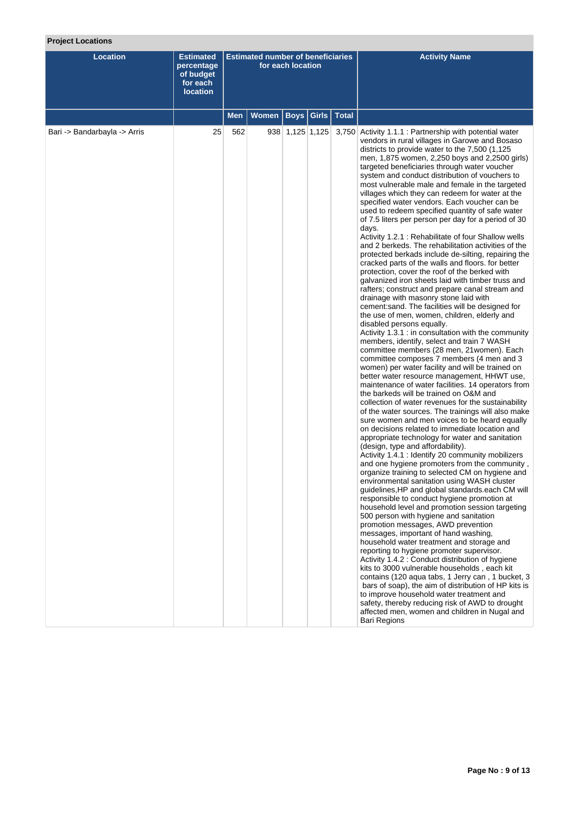# **Project Locations**

| <b>Location</b>              | <b>Estimated</b><br>percentage<br>of budget<br>for each<br><b>location</b> | <b>Estimated number of beneficiaries</b><br>for each location |       |                   |                       |              | <b>Activity Name</b>                                                                                                                                                                                                                                                                                                                                                                                                                                                                                                                                                                                                                                                                                                                                                                                                                                                                                                                                                                                                                                                                                                                                                                                                                                                                                                                                                                                                                                                                                                                                                                                                                                                                                                                                                                                                                                                                                                                                                                                                                                                                                                                                                                                                                                                                                                                                                                                                                                                                                                                                                                                                                                                                                                                                                                                                                       |
|------------------------------|----------------------------------------------------------------------------|---------------------------------------------------------------|-------|-------------------|-----------------------|--------------|--------------------------------------------------------------------------------------------------------------------------------------------------------------------------------------------------------------------------------------------------------------------------------------------------------------------------------------------------------------------------------------------------------------------------------------------------------------------------------------------------------------------------------------------------------------------------------------------------------------------------------------------------------------------------------------------------------------------------------------------------------------------------------------------------------------------------------------------------------------------------------------------------------------------------------------------------------------------------------------------------------------------------------------------------------------------------------------------------------------------------------------------------------------------------------------------------------------------------------------------------------------------------------------------------------------------------------------------------------------------------------------------------------------------------------------------------------------------------------------------------------------------------------------------------------------------------------------------------------------------------------------------------------------------------------------------------------------------------------------------------------------------------------------------------------------------------------------------------------------------------------------------------------------------------------------------------------------------------------------------------------------------------------------------------------------------------------------------------------------------------------------------------------------------------------------------------------------------------------------------------------------------------------------------------------------------------------------------------------------------------------------------------------------------------------------------------------------------------------------------------------------------------------------------------------------------------------------------------------------------------------------------------------------------------------------------------------------------------------------------------------------------------------------------------------------------------------------------|
|                              |                                                                            | <b>Men</b>                                                    | Women |                   | <b>Boys   Girls  </b> | <b>Total</b> |                                                                                                                                                                                                                                                                                                                                                                                                                                                                                                                                                                                                                                                                                                                                                                                                                                                                                                                                                                                                                                                                                                                                                                                                                                                                                                                                                                                                                                                                                                                                                                                                                                                                                                                                                                                                                                                                                                                                                                                                                                                                                                                                                                                                                                                                                                                                                                                                                                                                                                                                                                                                                                                                                                                                                                                                                                            |
| Bari -> Bandarbayla -> Arris | 25                                                                         | 562                                                           |       | $938$ 1,125 1,125 |                       |              | 3,750 Activity 1.1.1 : Partnership with potential water<br>vendors in rural villages in Garowe and Bosaso<br>districts to provide water to the 7,500 (1,125)<br>men, 1,875 women, 2,250 boys and 2,2500 girls)<br>targeted beneficiaries through water voucher<br>system and conduct distribution of vouchers to<br>most vulnerable male and female in the targeted<br>villages which they can redeem for water at the<br>specified water vendors. Each voucher can be<br>used to redeem specified quantity of safe water<br>of 7.5 liters per person per day for a period of 30<br>days.<br>Activity 1.2.1 : Rehabilitate of four Shallow wells<br>and 2 berkeds. The rehabilitation activities of the<br>protected berkads include de-silting, repairing the<br>cracked parts of the walls and floors. for better<br>protection, cover the roof of the berked with<br>galvanized iron sheets laid with timber truss and<br>rafters; construct and prepare canal stream and<br>drainage with masonry stone laid with<br>cement: sand. The facilities will be designed for<br>the use of men, women, children, elderly and<br>disabled persons equally.<br>Activity 1.3.1 : in consultation with the community<br>members, identify, select and train 7 WASH<br>committee members (28 men, 21 women). Each<br>committee composes 7 members (4 men and 3<br>women) per water facility and will be trained on<br>better water resource management, HHWT use,<br>maintenance of water facilities. 14 operators from<br>the barkeds will be trained on O&M and<br>collection of water revenues for the sustainability<br>of the water sources. The trainings will also make<br>sure women and men voices to be heard equally<br>on decisions related to immediate location and<br>appropriate technology for water and sanitation<br>(design, type and affordability).<br>Activity 1.4.1 : Identify 20 community mobilizers<br>and one hygiene promoters from the community,<br>organize training to selected CM on hygiene and<br>environmental sanitation using WASH cluster<br>guidelines, HP and global standards.each CM will<br>responsible to conduct hygiene promotion at<br>household level and promotion session targeting<br>500 person with hygiene and sanitation<br>promotion messages, AWD prevention<br>messages, important of hand washing,<br>household water treatment and storage and<br>reporting to hygiene promoter supervisor.<br>Activity 1.4.2 : Conduct distribution of hygiene<br>kits to 3000 vulnerable households, each kit<br>contains (120 aqua tabs, 1 Jerry can, 1 bucket, 3<br>bars of soap), the aim of distribution of HP kits is<br>to improve household water treatment and<br>safety, thereby reducing risk of AWD to drought<br>affected men, women and children in Nugal and<br><b>Bari Regions</b> |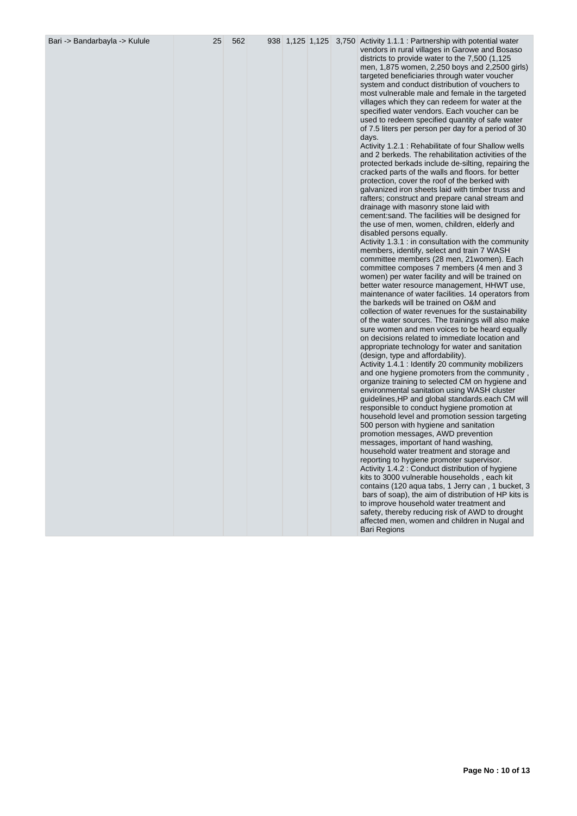| Bari -> Bandarbayla -> Kulule |  |  |  |  |  |  | 938 1,125 1,125 3,750 Activity 1.1.1 : Partnership with potential water<br>vendors in rural villages in Garowe and Bosaso<br>districts to provide water to the 7,500 (1,125)<br>men, 1,875 women, 2,250 boys and 2,2500 girls)<br>targeted beneficiaries through water voucher<br>system and conduct distribution of vouchers to<br>most vulnerable male and female in the targeted<br>villages which they can redeem for water at the<br>specified water vendors. Each voucher can be<br>used to redeem specified quantity of safe water<br>of 7.5 liters per person per day for a period of 30<br>days.<br>Activity 1.2.1 : Rehabilitate of four Shallow wells<br>and 2 berkeds. The rehabilitation activities of the<br>protected berkads include de-silting, repairing the<br>cracked parts of the walls and floors. for better<br>protection, cover the roof of the berked with<br>galvanized iron sheets laid with timber truss and<br>rafters; construct and prepare canal stream and<br>drainage with masonry stone laid with<br>cement: sand. The facilities will be designed for<br>the use of men, women, children, elderly and<br>disabled persons equally.<br>Activity 1.3.1 : in consultation with the community<br>members, identify, select and train 7 WASH<br>committee members (28 men, 21 women). Each<br>committee composes 7 members (4 men and 3<br>women) per water facility and will be trained on<br>better water resource management, HHWT use,<br>maintenance of water facilities. 14 operators from<br>the barkeds will be trained on O&M and<br>collection of water revenues for the sustainability<br>of the water sources. The trainings will also make<br>sure women and men voices to be heard equally<br>on decisions related to immediate location and<br>appropriate technology for water and sanitation<br>(design, type and affordability).<br>Activity 1.4.1 : Identify 20 community mobilizers<br>and one hygiene promoters from the community,<br>organize training to selected CM on hygiene and<br>environmental sanitation using WASH cluster<br>guidelines, HP and global standards.each CM will<br>responsible to conduct hygiene promotion at<br>household level and promotion session targeting<br>500 person with hygiene and sanitation<br>promotion messages, AWD prevention<br>messages, important of hand washing,<br>household water treatment and storage and<br>reporting to hygiene promoter supervisor.<br>Activity 1.4.2 : Conduct distribution of hygiene<br>kits to 3000 vulnerable households, each kit<br>contains (120 agua tabs, 1 Jerry can, 1 bucket, 3<br>bars of soap), the aim of distribution of HP kits is<br>to improve household water treatment and<br>safety, thereby reducing risk of AWD to drought<br>affected men, women and children in Nugal and<br><b>Bari Regions</b> |
|-------------------------------|--|--|--|--|--|--|------------------------------------------------------------------------------------------------------------------------------------------------------------------------------------------------------------------------------------------------------------------------------------------------------------------------------------------------------------------------------------------------------------------------------------------------------------------------------------------------------------------------------------------------------------------------------------------------------------------------------------------------------------------------------------------------------------------------------------------------------------------------------------------------------------------------------------------------------------------------------------------------------------------------------------------------------------------------------------------------------------------------------------------------------------------------------------------------------------------------------------------------------------------------------------------------------------------------------------------------------------------------------------------------------------------------------------------------------------------------------------------------------------------------------------------------------------------------------------------------------------------------------------------------------------------------------------------------------------------------------------------------------------------------------------------------------------------------------------------------------------------------------------------------------------------------------------------------------------------------------------------------------------------------------------------------------------------------------------------------------------------------------------------------------------------------------------------------------------------------------------------------------------------------------------------------------------------------------------------------------------------------------------------------------------------------------------------------------------------------------------------------------------------------------------------------------------------------------------------------------------------------------------------------------------------------------------------------------------------------------------------------------------------------------------------------------------------------------------------------------------------------------------------------------------------------------------------------------------|
|-------------------------------|--|--|--|--|--|--|------------------------------------------------------------------------------------------------------------------------------------------------------------------------------------------------------------------------------------------------------------------------------------------------------------------------------------------------------------------------------------------------------------------------------------------------------------------------------------------------------------------------------------------------------------------------------------------------------------------------------------------------------------------------------------------------------------------------------------------------------------------------------------------------------------------------------------------------------------------------------------------------------------------------------------------------------------------------------------------------------------------------------------------------------------------------------------------------------------------------------------------------------------------------------------------------------------------------------------------------------------------------------------------------------------------------------------------------------------------------------------------------------------------------------------------------------------------------------------------------------------------------------------------------------------------------------------------------------------------------------------------------------------------------------------------------------------------------------------------------------------------------------------------------------------------------------------------------------------------------------------------------------------------------------------------------------------------------------------------------------------------------------------------------------------------------------------------------------------------------------------------------------------------------------------------------------------------------------------------------------------------------------------------------------------------------------------------------------------------------------------------------------------------------------------------------------------------------------------------------------------------------------------------------------------------------------------------------------------------------------------------------------------------------------------------------------------------------------------------------------------------------------------------------------------------------------------------------------------|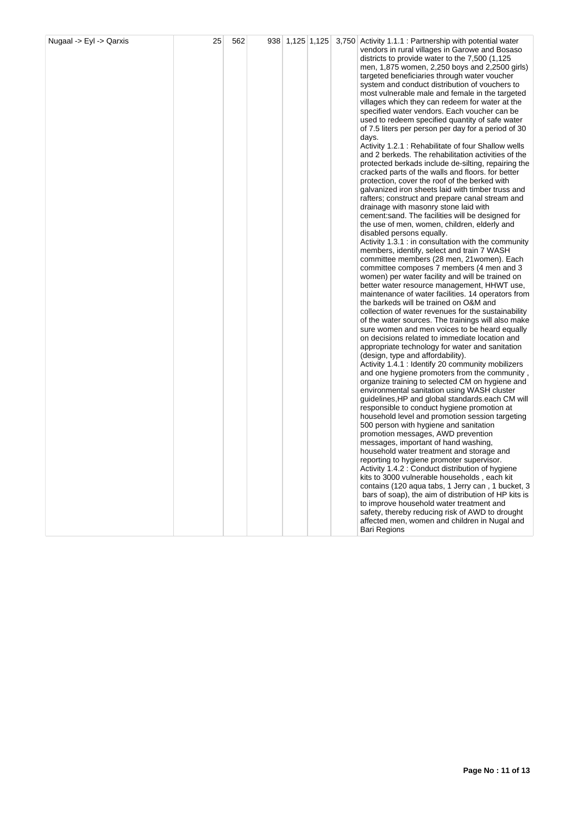|  |  |  |  |  |  |  | vendors in rural villages in Garowe and Bosaso<br>districts to provide water to the 7,500 (1,125)<br>men, 1,875 women, 2,250 boys and 2,2500 girls)<br>targeted beneficiaries through water voucher<br>system and conduct distribution of vouchers to<br>most vulnerable male and female in the targeted<br>villages which they can redeem for water at the<br>specified water vendors. Each voucher can be<br>used to redeem specified quantity of safe water<br>of 7.5 liters per person per day for a period of 30<br>days.<br>Activity 1.2.1 : Rehabilitate of four Shallow wells<br>and 2 berkeds. The rehabilitation activities of the<br>protected berkads include de-silting, repairing the<br>cracked parts of the walls and floors. for better<br>protection, cover the roof of the berked with<br>galvanized iron sheets laid with timber truss and<br>rafters; construct and prepare canal stream and<br>drainage with masonry stone laid with<br>cement: sand. The facilities will be designed for<br>the use of men, women, children, elderly and<br>disabled persons equally.<br>Activity 1.3.1 : in consultation with the community<br>members, identify, select and train 7 WASH<br>committee members (28 men, 21 women). Each<br>committee composes 7 members (4 men and 3<br>women) per water facility and will be trained on<br>better water resource management, HHWT use,<br>maintenance of water facilities. 14 operators from<br>the barkeds will be trained on O&M and<br>collection of water revenues for the sustainability<br>of the water sources. The trainings will also make<br>sure women and men voices to be heard equally<br>on decisions related to immediate location and<br>appropriate technology for water and sanitation<br>(design, type and affordability).<br>Activity 1.4.1 : Identify 20 community mobilizers<br>and one hygiene promoters from the community,<br>organize training to selected CM on hygiene and<br>environmental sanitation using WASH cluster<br>guidelines, HP and global standards.each CM will<br>responsible to conduct hygiene promotion at<br>household level and promotion session targeting<br>500 person with hygiene and sanitation<br>promotion messages, AWD prevention<br>messages, important of hand washing,<br>household water treatment and storage and<br>reporting to hygiene promoter supervisor.<br>Activity 1.4.2 : Conduct distribution of hygiene<br>kits to 3000 vulnerable households, each kit<br>contains (120 aqua tabs, 1 Jerry can, 1 bucket, 3<br>bars of soap), the aim of distribution of HP kits is<br>to improve household water treatment and<br>safety, thereby reducing risk of AWD to drought<br>affected men, women and children in Nugal and<br>Bari Regions |
|--|--|--|--|--|--|--|--------------------------------------------------------------------------------------------------------------------------------------------------------------------------------------------------------------------------------------------------------------------------------------------------------------------------------------------------------------------------------------------------------------------------------------------------------------------------------------------------------------------------------------------------------------------------------------------------------------------------------------------------------------------------------------------------------------------------------------------------------------------------------------------------------------------------------------------------------------------------------------------------------------------------------------------------------------------------------------------------------------------------------------------------------------------------------------------------------------------------------------------------------------------------------------------------------------------------------------------------------------------------------------------------------------------------------------------------------------------------------------------------------------------------------------------------------------------------------------------------------------------------------------------------------------------------------------------------------------------------------------------------------------------------------------------------------------------------------------------------------------------------------------------------------------------------------------------------------------------------------------------------------------------------------------------------------------------------------------------------------------------------------------------------------------------------------------------------------------------------------------------------------------------------------------------------------------------------------------------------------------------------------------------------------------------------------------------------------------------------------------------------------------------------------------------------------------------------------------------------------------------------------------------------------------------------------------------------------------------------------------------------------------------------------------------------------------------------------------------------------------------------|
|--|--|--|--|--|--|--|--------------------------------------------------------------------------------------------------------------------------------------------------------------------------------------------------------------------------------------------------------------------------------------------------------------------------------------------------------------------------------------------------------------------------------------------------------------------------------------------------------------------------------------------------------------------------------------------------------------------------------------------------------------------------------------------------------------------------------------------------------------------------------------------------------------------------------------------------------------------------------------------------------------------------------------------------------------------------------------------------------------------------------------------------------------------------------------------------------------------------------------------------------------------------------------------------------------------------------------------------------------------------------------------------------------------------------------------------------------------------------------------------------------------------------------------------------------------------------------------------------------------------------------------------------------------------------------------------------------------------------------------------------------------------------------------------------------------------------------------------------------------------------------------------------------------------------------------------------------------------------------------------------------------------------------------------------------------------------------------------------------------------------------------------------------------------------------------------------------------------------------------------------------------------------------------------------------------------------------------------------------------------------------------------------------------------------------------------------------------------------------------------------------------------------------------------------------------------------------------------------------------------------------------------------------------------------------------------------------------------------------------------------------------------------------------------------------------------------------------------------------------------|